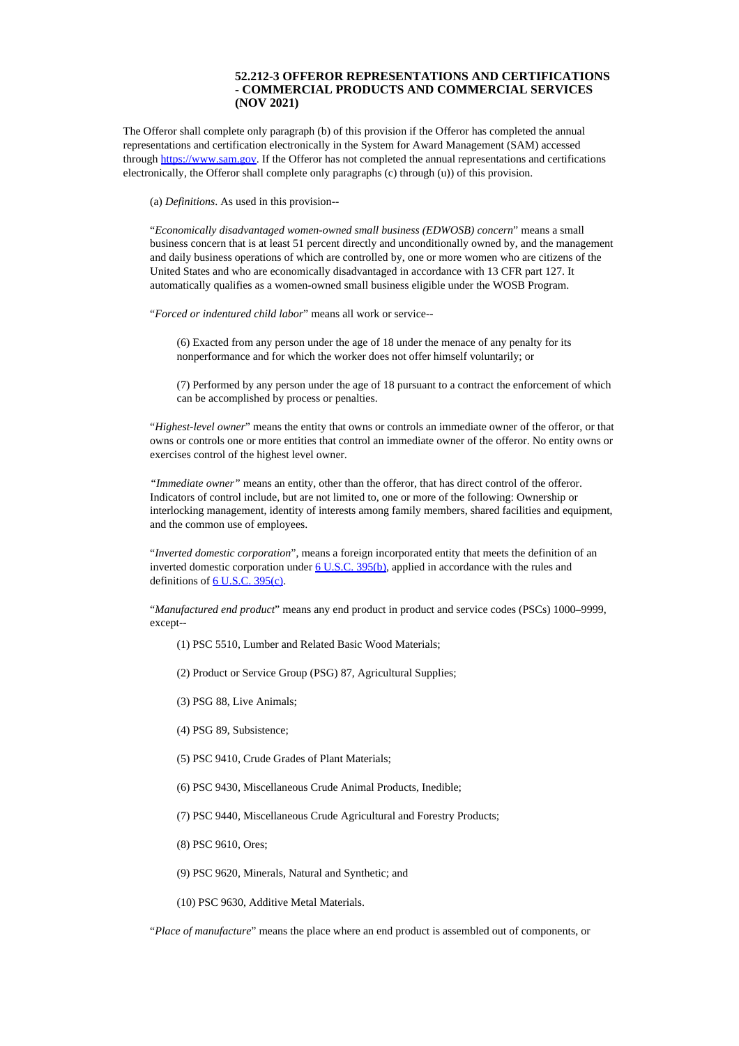## **52.212-3 OFFEROR REPRESENTATIONS AND CERTIFICATIONS - COMMERCIAL PRODUCTS AND COMMERCIAL SERVICES (NOV 2021)**

<span id="page-0-0"></span>The Offeror shall complete only paragraph (b) of this provision if the Offeror has completed the annual representations and certification electronically in the System for Award Management (SAM) accessed through [https://www.sam.gov](https://www.sam.gov/). If the Offeror has not completed the annual representations and certifications electronically, the Offeror shall complete only paragraphs (c) through (u)) of this provision.

(a) *Definitions*. As used in this provision--

"*Economically disadvantaged women-owned small business (EDWOSB) concern*" means a small business concern that is at least 51 percent directly and unconditionally owned by, and the management and daily business operations of which are controlled by, one or more women who are citizens of the United States and who are economically disadvantaged in accordance with 13 CFR part 127. It automatically qualifies as a women-owned small business eligible under the WOSB Program.

"*Forced or indentured child labor*" means all work or service--

(6) Exacted from any person under the age of 18 under the menace of any penalty for its nonperformance and for which the worker does not offer himself voluntarily; or

(7) Performed by any person under the age of 18 pursuant to a contract the enforcement of which can be accomplished by process or penalties.

"*Highest-level owner*" means the entity that owns or controls an immediate owner of the offeror, or that owns or controls one or more entities that control an immediate owner of the offeror. No entity owns or exercises control of the highest level owner.

*"Immediate owner"* means an entity, other than the offeror, that has direct control of the offeror. Indicators of control include, but are not limited to, one or more of the following: Ownership or interlocking management, identity of interests among family members, shared facilities and equipment, and the common use of employees.

"*Inverted domestic corporation*", means a foreign incorporated entity that meets the definition of an inverted domestic corporation under 6 [U.S.C.](http://uscode.house.gov/) 395(b), applied in accordance with the rules and definitions of 6 [U.S.C.](http://uscode.house.gov/) 395(c).

"*Manufactured end product*" means any end product in product and service codes (PSCs) 1000–9999, except--

- (1) PSC 5510, Lumber and Related Basic Wood Materials;
- (2) Product or Service Group (PSG) 87, Agricultural Supplies;
- (3) PSG 88, Live Animals;
- (4) PSG 89, Subsistence;
- (5) PSC 9410, Crude Grades of Plant Materials;
- (6) PSC 9430, Miscellaneous Crude Animal Products, Inedible;
- (7) PSC 9440, Miscellaneous Crude Agricultural and Forestry Products;
- (8) PSC 9610, Ores;
- (9) PSC 9620, Minerals, Natural and Synthetic; and
- (10) PSC 9630, Additive Metal Materials.

"*Place of manufacture*" means the place where an end product is assembled out of components, or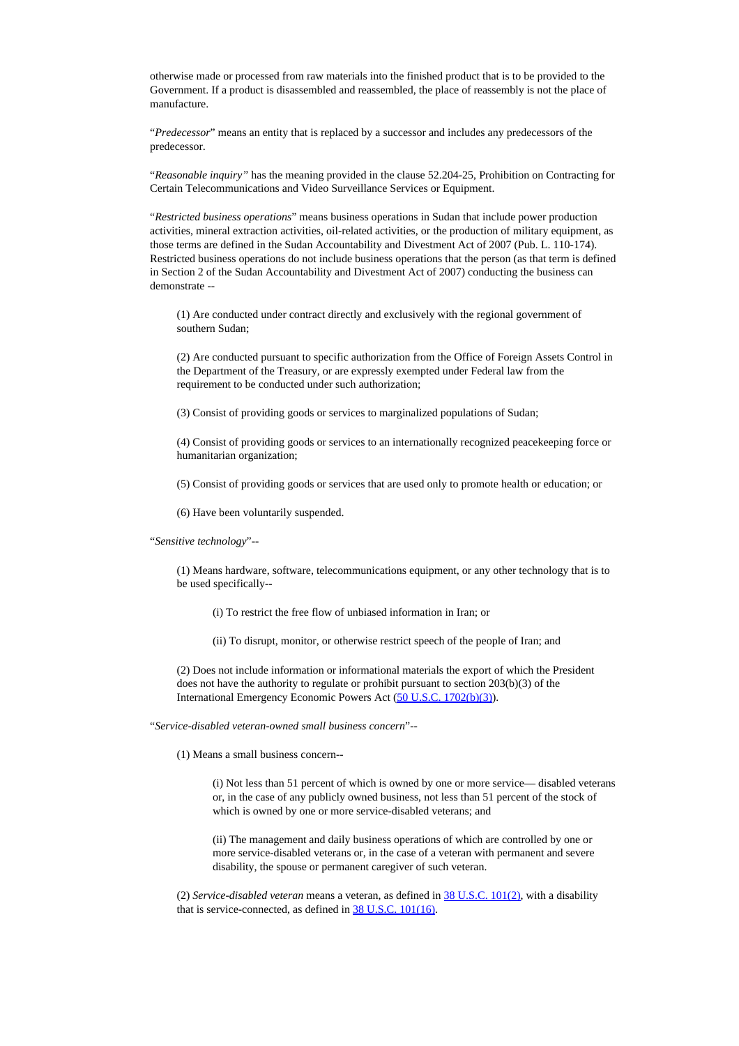otherwise made or processed from raw materials into the finished product that is to be provided to the Government. If a product is disassembled and reassembled, the place of reassembly is not the place of manufacture.

"*Predecessor*" means an entity that is replaced by a successor and includes any predecessors of the predecessor.

"*Reasonable inquiry"* has the meaning provided in the clause 52.204-25, Prohibition on Contracting for Certain Telecommunications and Video Surveillance Services or Equipment.

"*Restricted business operations*" means business operations in Sudan that include power production activities, mineral extraction activities, oil-related activities, or the production of military equipment, as those terms are defined in the Sudan Accountability and Divestment Act of 2007 (Pub. L. 110-174). Restricted business operations do not include business operations that the person (as that term is defined in Section 2 of the Sudan Accountability and Divestment Act of 2007) conducting the business can demonstrate --

(1) Are conducted under contract directly and exclusively with the regional government of southern Sudan;

(2) Are conducted pursuant to specific authorization from the Office of Foreign Assets Control in the Department of the Treasury, or are expressly exempted under Federal law from the requirement to be conducted under such authorization;

(3) Consist of providing goods or services to marginalized populations of Sudan;

(4) Consist of providing goods or services to an internationally recognized peacekeeping force or humanitarian organization;

(5) Consist of providing goods or services that are used only to promote health or education; or

(6) Have been voluntarily suspended.

"*Sensitive technology*"--

(1) Means hardware, software, telecommunications equipment, or any other technology that is to be used specifically--

(i) To restrict the free flow of unbiased information in Iran; or

(ii) To disrupt, monitor, or otherwise restrict speech of the people of Iran; and

(2) Does not include information or informational materials the export of which the President does not have the authority to regulate or prohibit pursuant to section 203(b)(3) of the International Emergency Economic Powers Act (50 U.S.C. [1702\(b\)\(3\)](http://uscode.house.gov/uscode-cgi/fastweb.exe?getdoc+uscview+t13t16+492+90++%2815%29%20%20AND%20%28%2815%29%20ADJ%20USC%29%3ACITE%20%20%20%20%20%20%20%20%20)).

"*Service-disabled veteran-owned small business concern*"--

(1) Means a small business concern--

(i) Not less than 51 percent of which is owned by one or more service— disabled veterans or, in the case of any publicly owned business, not less than 51 percent of the stock of which is owned by one or more service-disabled veterans; and

(ii) The management and daily business operations of which are controlled by one or more service-disabled veterans or, in the case of a veteran with permanent and severe disability, the spouse or permanent caregiver of such veteran.

(2) *Service-disabled veteran* means a veteran, as defined in 38 [U.S.C.](http://uscode.house.gov/uscode-cgi/fastweb.exe?getdoc+uscview+t37t40+200+2++%2838%29%20%20AND%20%28%2838%29%20ADJ%20USC%29%3ACITE%20%20%20%20%20%20%20%20%20) 101(2), with a disability that is service-connected, as defined in 38 U.S.C. [101\(16\)](http://uscode.house.gov/uscode-cgi/fastweb.exe?getdoc+uscview+t37t40+200+2++%2838%29%20%20AND%20%28%2838%29%20ADJ%20USC%29%3ACITE%20%20%20%20%20%20%20%20%20).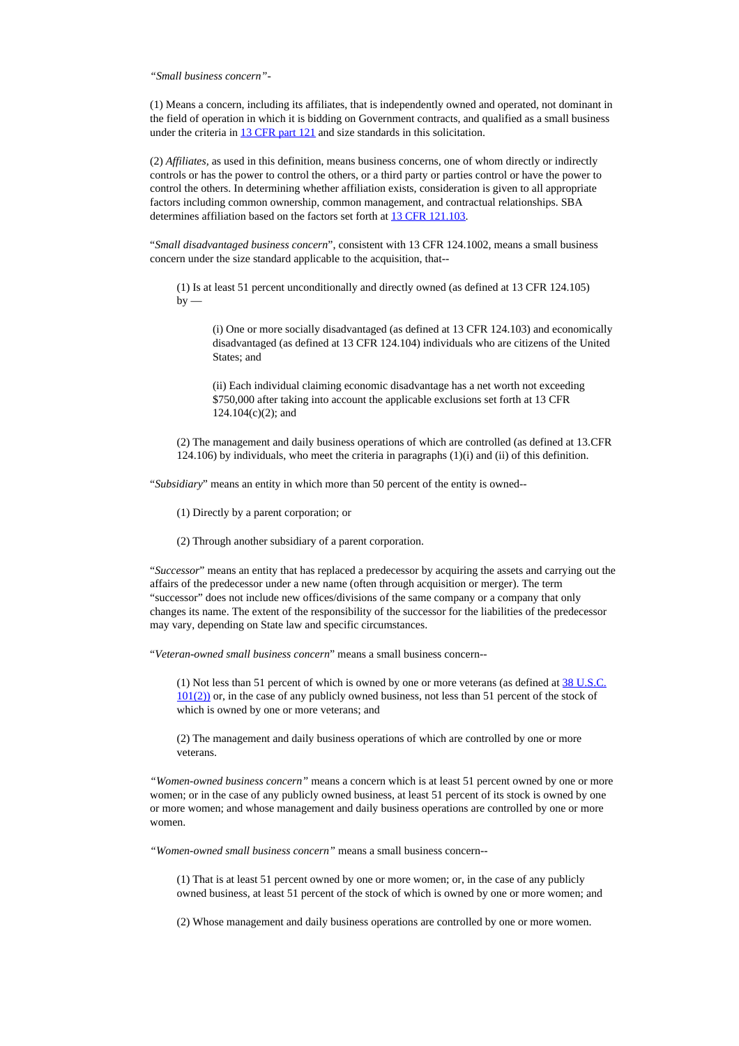*"Small business concern"-*

(1) Means a concern, including its affiliates, that is independently owned and operated, not dominant in the field of operation in which it is bidding on Government contracts, and qualified as a small business under the criteria in 13 [CFR](https://www.federalregister.gov/select-citation/2020/10/23/13-CFR-121) part 121 and size standards in this solicitation.

(2) *Affiliates,* as used in this definition, means business concerns, one of whom directly or indirectly controls or has the power to control the others, or a third party or parties control or have the power to control the others. In determining whether affiliation exists, consideration is given to all appropriate factors including common ownership, common management, and contractual relationships. SBA determines affiliation based on the factors set forth at 13 CFR [121.103.](https://www.federalregister.gov/select-citation/2020/10/23/13-CFR-121.103)

"*Small disadvantaged business concern*", consistent with 13 CFR 124.1002, means a small business concern under the size standard applicable to the acquisition, that--

(1) Is at least 51 percent unconditionally and directly owned (as defined at 13 CFR 124.105)  $by -$ 

(i) One or more socially disadvantaged (as defined at 13 CFR 124.103) and economically disadvantaged (as defined at 13 CFR 124.104) individuals who are citizens of the United States; and

(ii) Each individual claiming economic disadvantage has a net worth not exceeding \$750,000 after taking into account the applicable exclusions set forth at 13 CFR 124.104(c)(2); and

(2) The management and daily business operations of which are controlled (as defined at 13.CFR 124.106) by individuals, who meet the criteria in paragraphs  $(1)(i)$  and  $(ii)$  of this definition.

"*Subsidiary*" means an entity in which more than 50 percent of the entity is owned--

(1) Directly by a parent corporation; or

(2) Through another subsidiary of a parent corporation.

"*Successor*" means an entity that has replaced a predecessor by acquiring the assets and carrying out the affairs of the predecessor under a new name (often through acquisition or merger). The term "successor" does not include new offices/divisions of the same company or a company that only changes its name. The extent of the responsibility of the successor for the liabilities of the predecessor may vary, depending on State law and specific circumstances.

"*Veteran-owned small business concern*" means a small business concern--

(1) Not less than 51 percent of which is owned by one or more veterans (as defined at  $38 \text{ U.S.C.}$  $38 \text{ U.S.C.}$  $38 \text{ U.S.C.}$ [101\(2\)\)](http://uscode.house.gov/uscode-cgi/fastweb.exe?getdoc+uscview+t37t40+200+2++%2838%29%20%20AND%20%28%2838%29%20ADJ%20USC%29%3ACITE%20%20%20%20%20%20%20%20%20) or, in the case of any publicly owned business, not less than 51 percent of the stock of which is owned by one or more veterans; and

(2) The management and daily business operations of which are controlled by one or more veterans.

*"Women-owned business concern"* means a concern which is at least 51 percent owned by one or more women; or in the case of any publicly owned business, at least 51 percent of its stock is owned by one or more women; and whose management and daily business operations are controlled by one or more women.

*"Women-owned small business concern"* means a small business concern--

(1) That is at least 51 percent owned by one or more women; or, in the case of any publicly owned business, at least 51 percent of the stock of which is owned by one or more women; and

(2) Whose management and daily business operations are controlled by one or more women.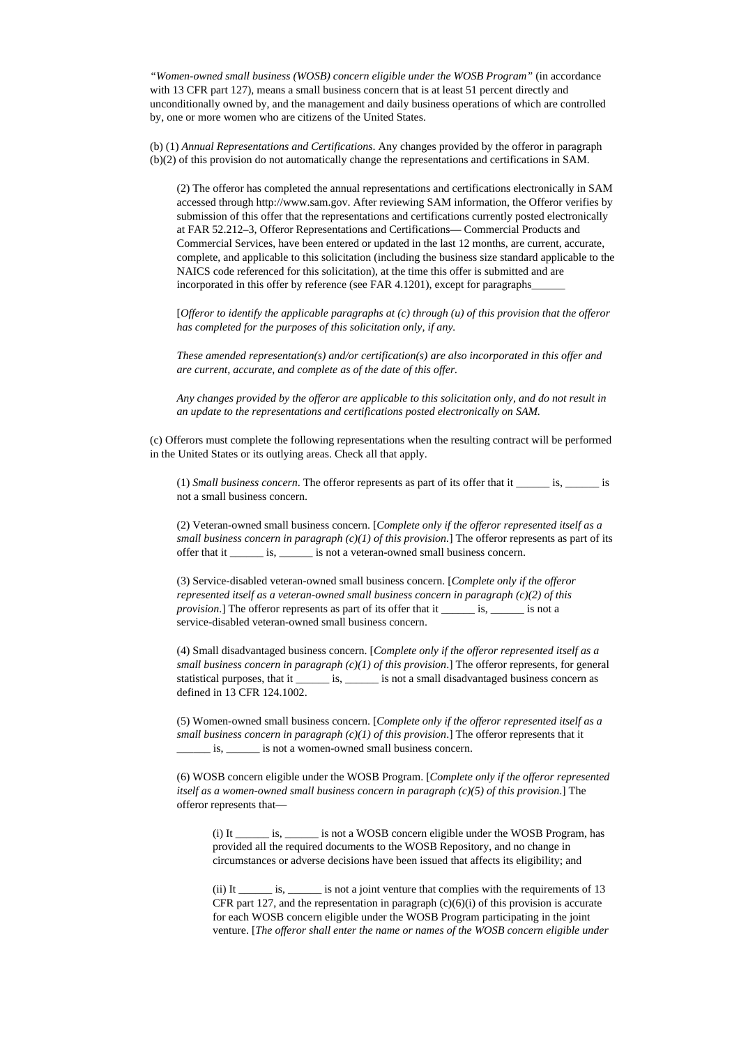*"Women-owned small business (WOSB) concern eligible under the WOSB Program"* (in accordance with 13 CFR part 127), means a small business concern that is at least 51 percent directly and unconditionally owned by, and the management and daily business operations of which are controlled by, one or more women who are citizens of the United States.

(b) (1) *Annual Representations and Certifications*. Any changes provided by the offeror in paragraph (b)(2) of this provision do not automatically change the representations and certifications in SAM.

(2) The offeror has completed the annual representations and certifications electronically in SAM accessed through http://www.sam.gov. After reviewing SAM information, the Offeror verifies by submission of this offer that the representations and certifications currently posted electronically at FAR 52.212–3, Offeror Representations and Certifications— Commercial Products and Commercial Services, have been entered or updated in the last 12 months, are current, accurate, complete, and applicable to this solicitation (including the business size standard applicable to the NAICS code referenced for this solicitation), at the time this offer is submitted and are incorporated in this offer by reference (see FAR 4.1201), except for paragraphs

[*Offeror to identify the applicable paragraphs at (c) through (u) of this provision that the offeror has completed for the purposes of this solicitation only, if any.*

*These amended representation(s) and/or certification(s) are also incorporated in this offer and are current, accurate, and complete as of the date of this offer.*

*Any changes provided by the offeror are applicable to this solicitation only, and do not result in an update to the representations and certifications posted electronically on SAM.*

(c) Offerors must complete the following representations when the resulting contract will be performed in the United States or its outlying areas. Check all that apply.

(1) *Small business concern*. The offeror represents as part of its offer that it \_\_\_\_\_\_ is, \_\_\_\_\_\_ is not a small business concern.

(2) Veteran-owned small business concern. [*Complete only if the offeror represented itself as a small business concern in paragraph (c)(1) of this provision.*] The offeror represents as part of its offer that it \_\_\_\_\_\_ is, \_\_\_\_\_\_ is not a veteran-owned small business concern.

(3) Service-disabled veteran-owned small business concern. [*Complete only if the offeror represented itself as a veteran-owned small business concern in paragraph (c)(2) of this provision*.] The offeror represents as part of its offer that it \_\_\_\_\_\_\_ is, \_\_\_\_\_\_ is not a service-disabled veteran-owned small business concern.

(4) Small disadvantaged business concern. [*Complete only if the offeror represented itself as a small business concern in paragraph (c)(1) of this provision*.] The offeror represents, for general statistical purposes, that it \_\_\_\_\_\_\_ is, \_\_\_\_\_\_ is not a small disadvantaged business concern as defined in 13 CFR 124.1002.

(5) Women-owned small business concern. [*Complete only if the offeror represented itself as a small business concern in paragraph*  $(c)(1)$  *of this provision*.] The offeror represents that it \_\_\_\_\_\_ is, \_\_\_\_\_\_ is not a women-owned small business concern.

(6) WOSB concern eligible under the WOSB Program. [*Complete only if the offeror represented itself as a women-owned small business concern in paragraph (c)(5) of this provision*.] The offeror represents that—

(i) It \_\_\_\_\_\_ is, \_\_\_\_\_\_ is not a WOSB concern eligible under the WOSB Program, has provided all the required documents to the WOSB Repository, and no change in circumstances or adverse decisions have been issued that affects its eligibility; and

(ii) It \_\_\_\_\_\_ is, \_\_\_\_\_\_ is not a joint venture that complies with the requirements of 13 CFR part 127, and the representation in paragraph  $(c)(6)(i)$  of this provision is accurate for each WOSB concern eligible under the WOSB Program participating in the joint venture. [*The offeror shall enter the name or names of the WOSB concern eligible under*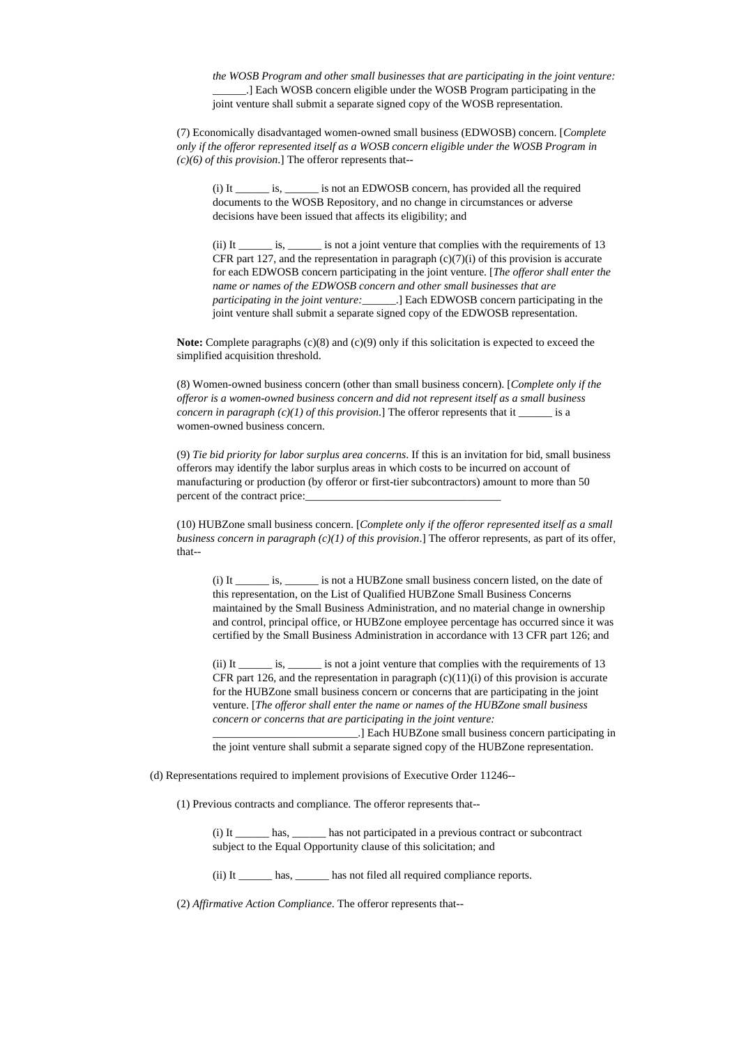*the WOSB Program and other small businesses that are participating in the joint venture:* \_\_\_\_\_\_.] Each WOSB concern eligible under the WOSB Program participating in the joint venture shall submit a separate signed copy of the WOSB representation.

(7) Economically disadvantaged women-owned small business (EDWOSB) concern. [*Complete only if the offeror represented itself as a WOSB concern eligible under the WOSB Program in (c)(6) of this provision*.] The offeror represents that--

(i) It \_\_\_\_\_\_ is, \_\_\_\_\_\_ is not an EDWOSB concern, has provided all the required documents to the WOSB Repository, and no change in circumstances or adverse decisions have been issued that affects its eligibility; and

(ii) It \_\_\_\_\_\_ is, \_\_\_\_\_\_ is not a joint venture that complies with the requirements of 13 CFR part 127, and the representation in paragraph  $(c)(7)(i)$  of this provision is accurate for each EDWOSB concern participating in the joint venture. [*The offeror shall enter the name or names of the EDWOSB concern and other small businesses that are participating in the joint venture:*\_\_\_\_\_\_.] Each EDWOSB concern participating in the joint venture shall submit a separate signed copy of the EDWOSB representation.

**Note:** Complete paragraphs (c)(8) and (c)(9) only if this solicitation is expected to exceed the simplified acquisition threshold.

(8) Women-owned business concern (other than small business concern). [*Complete only if the offeror is a women-owned business concern and did not represent itself as a small business concern in paragraph (c)(1) of this provision.*] The offeror represents that it \_\_\_\_\_\_ is a women-owned business concern.

(9) *Tie bid priority for labor surplus area concerns*. If this is an invitation for bid, small business offerors may identify the labor surplus areas in which costs to be incurred on account of manufacturing or production (by offeror or first-tier subcontractors) amount to more than 50 percent of the contract price:

(10) HUBZone small business concern. [*Complete only if the offeror represented itself as a small business concern in paragraph (c)(1) of this provision*.] The offeror represents, as part of its offer, that--

(i) It \_\_\_\_\_\_ is, \_\_\_\_\_\_ is not a HUBZone small business concern listed, on the date of this representation, on the List of Qualified HUBZone Small Business Concerns maintained by the Small Business Administration, and no material change in ownership and control, principal office, or HUBZone employee percentage has occurred since it was certified by the Small Business Administration in accordance with 13 CFR part 126; and

(ii) It \_\_\_\_\_\_ is, \_\_\_\_\_\_ is not a joint venture that complies with the requirements of 13 CFR part 126, and the representation in paragraph  $(c)(11)(i)$  of this provision is accurate for the HUBZone small business concern or concerns that are participating in the joint venture. [*The offeror shall enter the name or names of the HUBZone small business concern or concerns that are participating in the joint venture:*

*\_\_\_\_\_\_\_\_\_\_\_\_\_\_\_\_\_\_\_\_\_\_\_\_\_\_*.] Each HUBZone small business concern participating in the joint venture shall submit a separate signed copy of the HUBZone representation.

(d) Representations required to implement provisions of Executive Order 11246--

(1) Previous contracts and compliance. The offeror represents that--

(i) It \_\_\_\_\_\_ has, \_\_\_\_\_\_ has not participated in a previous contract or subcontract subject to the Equal Opportunity clause of this solicitation; and

(ii) It \_\_\_\_\_\_ has, \_\_\_\_\_\_ has not filed all required compliance reports.

(2) *Affirmative Action Compliance*. The offeror represents that--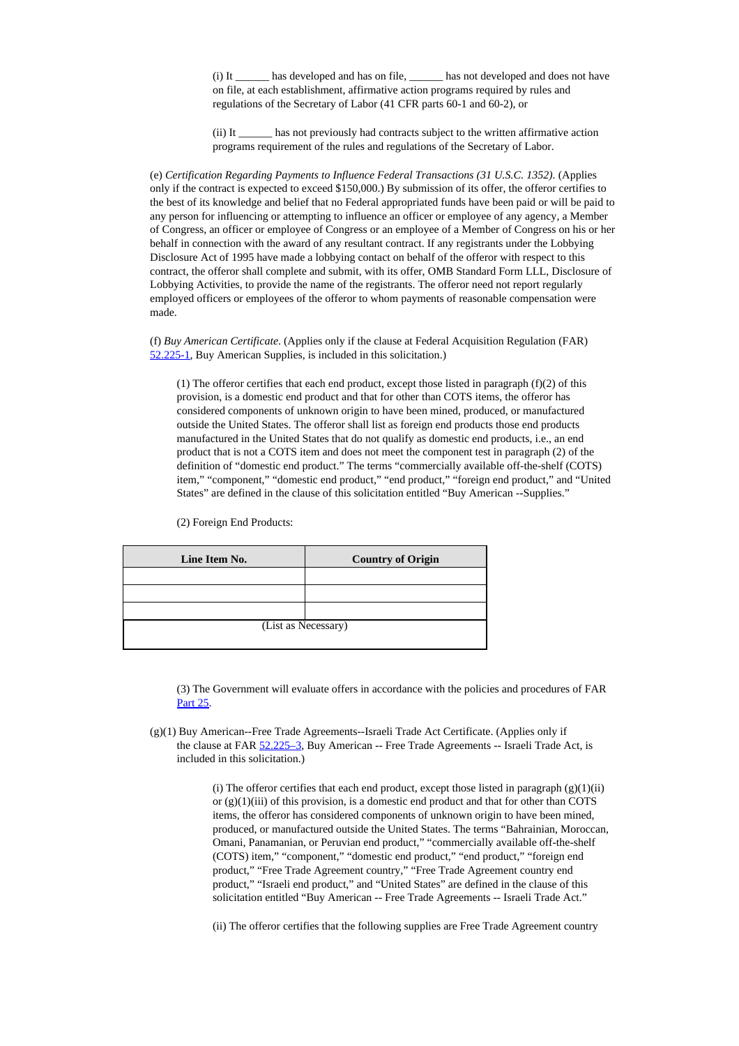(i) It \_\_\_\_\_\_ has developed and has on file, \_\_\_\_\_\_ has not developed and does not have on file, at each establishment, affirmative action programs required by rules and regulations of the Secretary of Labor (41 CFR parts 60-1 and 60-2), or

(ii) It \_\_\_\_\_\_ has not previously had contracts subject to the written affirmative action programs requirement of the rules and regulations of the Secretary of Labor.

(e) *Certification Regarding Payments to Influence Federal Transactions (31 U.S.C. 1352).* (Applies only if the contract is expected to exceed \$150,000.) By submission of its offer, the offeror certifies to the best of its knowledge and belief that no Federal appropriated funds have been paid or will be paid to any person for influencing or attempting to influence an officer or employee of any agency, a Member of Congress, an officer or employee of Congress or an employee of a Member of Congress on his or her behalf in connection with the award of any resultant contract. If any registrants under the Lobbying Disclosure Act of 1995 have made a lobbying contact on behalf of the offeror with respect to this contract, the offeror shall complete and submit, with its offer, OMB Standard Form LLL, Disclosure of Lobbying Activities, to provide the name of the registrants. The offeror need not report regularly employed officers or employees of the offeror to whom payments of reasonable compensation were made.

(f) *Buy American Certificate*. (Applies only if the clause at Federal Acquisition Regulation (FAR) [52.225-1](https://www.acquisition.gov/far/current/html/52_223_226.html#wp1168995), Buy American Supplies, is included in this solicitation.)

(1) The offeror certifies that each end product, except those listed in paragraph (f)(2) of this provision, is a domestic end product and that for other than COTS items, the offeror has considered components of unknown origin to have been mined, produced, or manufactured outside the United States. The offeror shall list as foreign end products those end products manufactured in the United States that do not qualify as domestic end products, i.e., an end product that is not a COTS item and does not meet the component test in paragraph (2) of the definition of "domestic end product." The terms "commercially available off-the-shelf (COTS) item," "component," "domestic end product," "end product," "foreign end product," and "United States" are defined in the clause of this solicitation entitled "Buy American --Supplies."

(2) Foreign End Products:

| Line Item No.       | <b>Country of Origin</b> |
|---------------------|--------------------------|
|                     |                          |
|                     |                          |
|                     |                          |
| (List as Necessary) |                          |

(3) The Government will evaluate offers in accordance with the policies and procedures of FAR [Part](https://www.acquisition.gov/far/current/html/FARTOCP25.html#wp225048) 25.

(g)(1) Buy American--Free Trade Agreements--Israeli Trade Act Certificate. (Applies only if the clause at FAR [52.225–3,](https://www.acquisition.gov/far/current/html/52_223_226.html#wp1169038) Buy American -- Free Trade Agreements -- Israeli Trade Act, is included in this solicitation.)

> (i) The offeror certifies that each end product, except those listed in paragraph  $(g)(1)(ii)$ or  $(g)(1)(iii)$  of this provision, is a domestic end product and that for other than COTS items, the offeror has considered components of unknown origin to have been mined, produced, or manufactured outside the United States. The terms "Bahrainian, Moroccan, Omani, Panamanian, or Peruvian end product," "commercially available off-the-shelf (COTS) item," "component," "domestic end product," "end product," "foreign end product," "Free Trade Agreement country," "Free Trade Agreement country end product," "Israeli end product," and "United States" are defined in the clause of this solicitation entitled "Buy American -- Free Trade Agreements -- Israeli Trade Act."

(ii) The offeror certifies that the following supplies are Free Trade Agreement country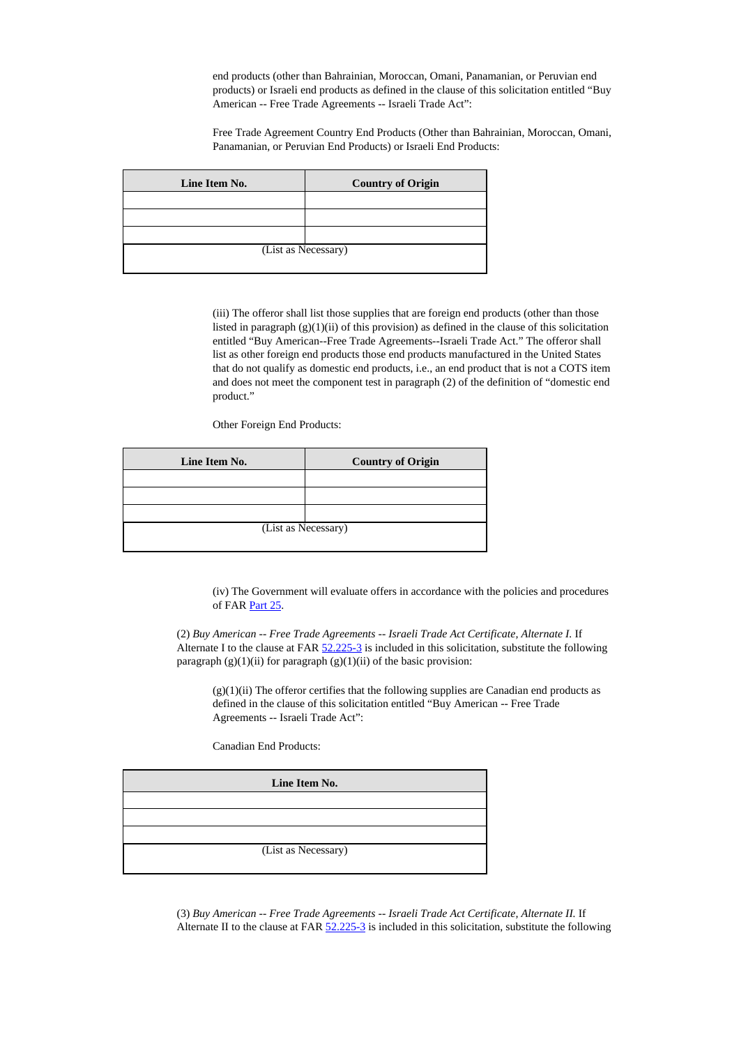end products (other than Bahrainian, Moroccan, Omani, Panamanian, or Peruvian end products) or Israeli end products as defined in the clause of this solicitation entitled "Buy American -- Free Trade Agreements -- Israeli Trade Act":

Free Trade Agreement Country End Products (Other than Bahrainian, Moroccan, Omani, Panamanian, or Peruvian End Products) or Israeli End Products:

| Line Item No.       | <b>Country of Origin</b> |
|---------------------|--------------------------|
|                     |                          |
|                     |                          |
|                     |                          |
| (List as Necessary) |                          |
|                     |                          |

(iii) The offeror shall list those supplies that are foreign end products (other than those listed in paragraph  $(g)(1)(ii)$  of this provision) as defined in the clause of this solicitation entitled "Buy American--Free Trade Agreements--Israeli Trade Act." The offeror shall list as other foreign end products those end products manufactured in the United States that do not qualify as domestic end products, i.e., an end product that is not a COTS item and does not meet the component test in paragraph (2) of the definition of "domestic end product."

Other Foreign End Products:

| Line Item No.       | <b>Country of Origin</b> |
|---------------------|--------------------------|
|                     |                          |
|                     |                          |
|                     |                          |
| (List as Necessary) |                          |
|                     |                          |

(iv) The Government will evaluate offers in accordance with the policies and procedures of FAR [Part](https://www.acquisition.gov/far/current/html/FARTOCP25.html#wp225048) 25.

(2) *Buy American -- Free Trade Agreements -- Israeli Trade Act Certificate, Alternate I.* If Alternate I to the clause at FAR [52.225-3](https://www.acquisition.gov/far/current/html/52_223_226.html#wp1169038) is included in this solicitation, substitute the following paragraph  $(g)(1)(ii)$  for paragraph  $(g)(1)(ii)$  of the basic provision:

 $(g)(1)(ii)$  The offeror certifies that the following supplies are Canadian end products as defined in the clause of this solicitation entitled "Buy American -- Free Trade Agreements -- Israeli Trade Act":

Canadian End Products:

| Line Item No.       |  |
|---------------------|--|
|                     |  |
|                     |  |
|                     |  |
| (List as Necessary) |  |

(3) *Buy American -- Free Trade Agreements -- Israeli Trade Act Certificate, Alternate II.* If Alternate II to the clause at FAR  $52.225-3$  is included in this solicitation, substitute the following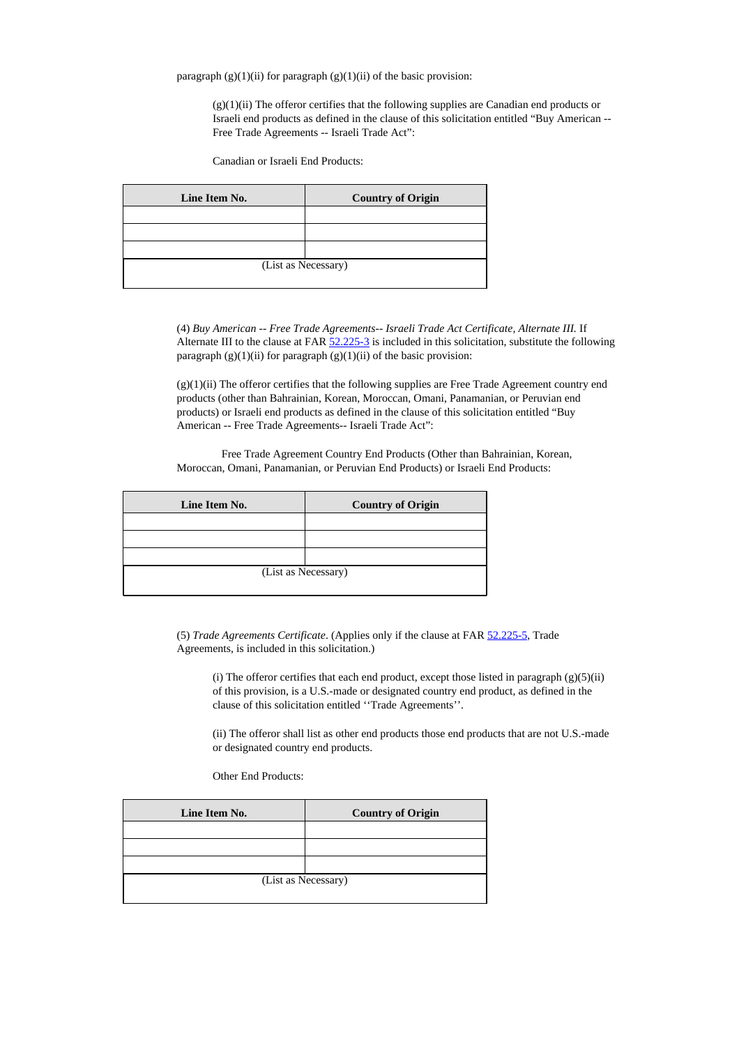paragraph  $(g)(1)(ii)$  for paragraph  $(g)(1)(ii)$  of the basic provision:

 $(g)(1)(ii)$  The offeror certifies that the following supplies are Canadian end products or Israeli end products as defined in the clause of this solicitation entitled "Buy American -- Free Trade Agreements -- Israeli Trade Act":

Canadian or Israeli End Products:

| Line Item No.       | <b>Country of Origin</b> |
|---------------------|--------------------------|
|                     |                          |
|                     |                          |
|                     |                          |
| (List as Necessary) |                          |
|                     |                          |

(4) *Buy American -- Free Trade Agreements-- Israeli Trade Act Certificate, Alternate III.* If Alternate III to the clause at FAR  $52.225-3$  is included in this solicitation, substitute the following paragraph  $(g)(1)(ii)$  for paragraph  $(g)(1)(ii)$  of the basic provision:

(g)(1)(ii) The offeror certifies that the following supplies are Free Trade Agreement country end products (other than Bahrainian, Korean, Moroccan, Omani, Panamanian, or Peruvian end products) or Israeli end products as defined in the clause of this solicitation entitled "Buy American -- Free Trade Agreements-- Israeli Trade Act":

Free Trade Agreement Country End Products (Other than Bahrainian, Korean, Moroccan, Omani, Panamanian, or Peruvian End Products) or Israeli End Products:

| Line Item No. | <b>Country of Origin</b> |
|---------------|--------------------------|
|               |                          |
|               |                          |
|               |                          |
|               | (List as Necessary)      |
|               |                          |

(5) *Trade Agreements Certificate*. (Applies only if the clause at FAR [52.225-5,](https://acquisition.gov/far/current/html/52_223_226.html#wp1169151) Trade Agreements, is included in this solicitation.)

(i) The offeror certifies that each end product, except those listed in paragraph  $(g)(5)(ii)$ of this provision, is a U.S.-made or designated country end product, as defined in the clause of this solicitation entitled ''Trade Agreements''.

(ii) The offeror shall list as other end products those end products that are not U.S.-made or designated country end products.

Other End Products:

| Line Item No.       | <b>Country of Origin</b> |
|---------------------|--------------------------|
|                     |                          |
|                     |                          |
|                     |                          |
| (List as Necessary) |                          |
|                     |                          |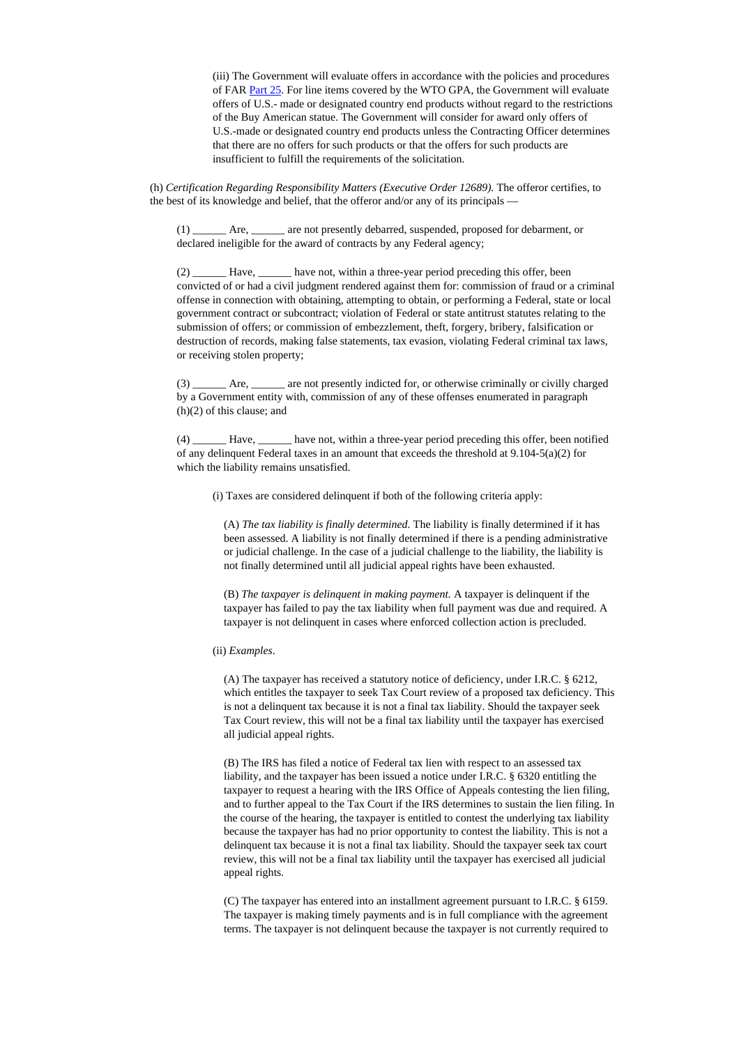(iii) The Government will evaluate offers in accordance with the policies and procedures of FAR [Part](https://acquisition.gov/far/current/html/FARTOCP25.html#wp225048) 25. For line items covered by the WTO GPA, the Government will evaluate offers of U.S.- made or designated country end products without regard to the restrictions of the Buy American statue. The Government will consider for award only offers of U.S.-made or designated country end products unless the Contracting Officer determines that there are no offers for such products or that the offers for such products are insufficient to fulfill the requirements of the solicitation.

(h) *Certification Regarding Responsibility Matters (Executive Order 12689).* The offeror certifies, to the best of its knowledge and belief, that the offeror and/or any of its principals —

(1) \_\_\_\_\_\_ Are, \_\_\_\_\_\_ are not presently debarred, suspended, proposed for debarment, or declared ineligible for the award of contracts by any Federal agency;

(2) Have, have not, within a three-year period preceding this offer, been convicted of or had a civil judgment rendered against them for: commission of fraud or a criminal offense in connection with obtaining, attempting to obtain, or performing a Federal, state or local government contract or subcontract; violation of Federal or state antitrust statutes relating to the submission of offers; or commission of embezzlement, theft, forgery, bribery, falsification or destruction of records, making false statements, tax evasion, violating Federal criminal tax laws, or receiving stolen property;

(3) \_\_\_\_\_\_ Are, \_\_\_\_\_\_ are not presently indicted for, or otherwise criminally or civilly charged by a Government entity with, commission of any of these offenses enumerated in paragraph (h)(2) of this clause; and

(4) \_\_\_\_\_\_ Have, \_\_\_\_\_\_ have not, within a three-year period preceding this offer, been notified of any delinquent Federal taxes in an amount that exceeds the threshold at  $9.104-5(a)(2)$  for which the liability remains unsatisfied.

(i) Taxes are considered delinquent if both of the following criteria apply:

(A) *The tax liability is finally determined*. The liability is finally determined if it has been assessed. A liability is not finally determined if there is a pending administrative or judicial challenge. In the case of a judicial challenge to the liability, the liability is not finally determined until all judicial appeal rights have been exhausted.

(B) *The taxpayer is delinquent in making payment.* A taxpayer is delinquent if the taxpayer has failed to pay the tax liability when full payment was due and required. A taxpayer is not delinquent in cases where enforced collection action is precluded.

(ii) *Examples*.

(A) The taxpayer has received a statutory notice of deficiency, under I.R.C. § 6212, which entitles the taxpayer to seek Tax Court review of a proposed tax deficiency. This is not a delinquent tax because it is not a final tax liability. Should the taxpayer seek Tax Court review, this will not be a final tax liability until the taxpayer has exercised all judicial appeal rights.

(B) The IRS has filed a notice of Federal tax lien with respect to an assessed tax liability, and the taxpayer has been issued a notice under I.R.C. § 6320 entitling the taxpayer to request a hearing with the IRS Office of Appeals contesting the lien filing, and to further appeal to the Tax Court if the IRS determines to sustain the lien filing. In the course of the hearing, the taxpayer is entitled to contest the underlying tax liability because the taxpayer has had no prior opportunity to contest the liability. This is not a delinquent tax because it is not a final tax liability. Should the taxpayer seek tax court review, this will not be a final tax liability until the taxpayer has exercised all judicial appeal rights.

(C) The taxpayer has entered into an installment agreement pursuant to I.R.C. § 6159. The taxpayer is making timely payments and is in full compliance with the agreement terms. The taxpayer is not delinquent because the taxpayer is not currently required to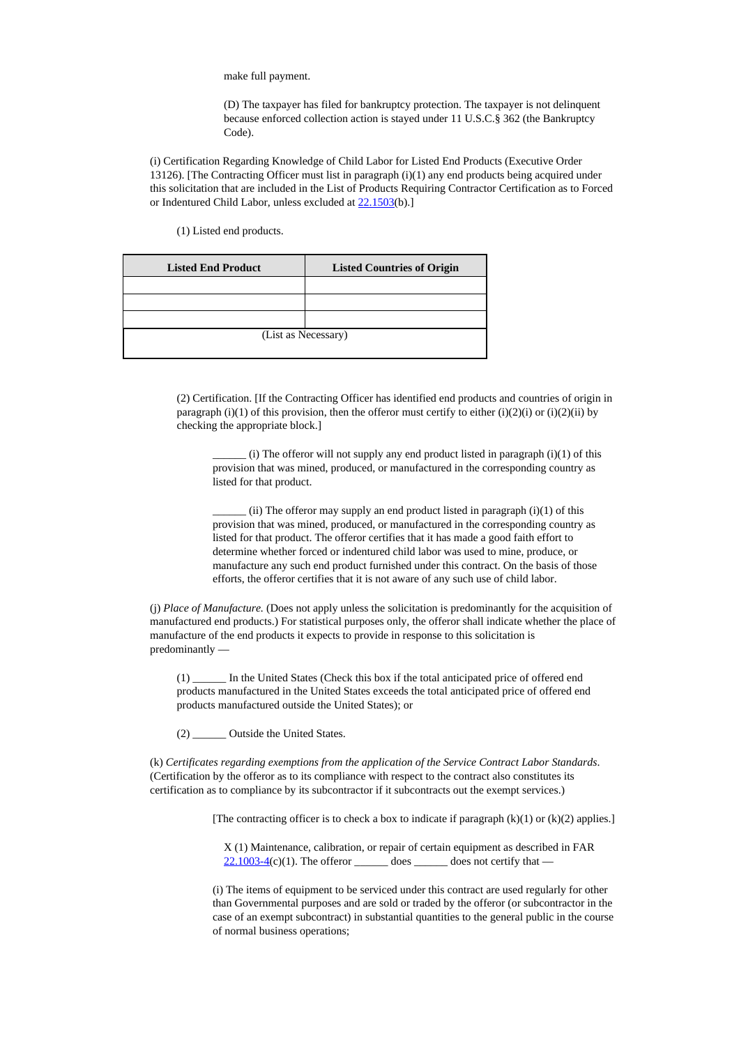make full payment.

(D) The taxpayer has filed for bankruptcy protection. The taxpayer is not delinquent because enforced collection action is stayed under 11 U.S.C.§ 362 (the Bankruptcy Code).

(i) Certification Regarding Knowledge of Child Labor for Listed End Products (Executive Order 13126). [The Contracting Officer must list in paragraph (i)(1) any end products being acquired under this solicitation that are included in the List of Products Requiring Contractor Certification as to Forced or Indentured Child Labor, unless excluded at [22.1503\(](https://www.acquisition.gov/far/current/html/Subpart%2022_15.html#wp1088086)b).]

(1) Listed end products.

| <b>Listed End Product</b> | <b>Listed Countries of Origin</b> |
|---------------------------|-----------------------------------|
|                           |                                   |
|                           |                                   |
|                           |                                   |
| (List as Necessary)       |                                   |
|                           |                                   |

(2) Certification. [If the Contracting Officer has identified end products and countries of origin in paragraph (i)(1) of this provision, then the offeror must certify to either (i)(2)(i) or (i)(2)(ii) by checking the appropriate block.]

 $(i)$  The offeror will not supply any end product listed in paragraph  $(i)(1)$  of this provision that was mined, produced, or manufactured in the corresponding country as listed for that product.

 $(i)$  The offeror may supply an end product listed in paragraph  $(i)(1)$  of this provision that was mined, produced, or manufactured in the corresponding country as listed for that product. The offeror certifies that it has made a good faith effort to determine whether forced or indentured child labor was used to mine, produce, or manufacture any such end product furnished under this contract. On the basis of those efforts, the offeror certifies that it is not aware of any such use of child labor.

(j) *Place of Manufacture.* (Does not apply unless the solicitation is predominantly for the acquisition of manufactured end products.) For statistical purposes only, the offeror shall indicate whether the place of manufacture of the end products it expects to provide in response to this solicitation is predominantly —

(1) \_\_\_\_\_\_ In the United States (Check this box if the total anticipated price of offered end products manufactured in the United States exceeds the total anticipated price of offered end products manufactured outside the United States); or

(2) \_\_\_\_\_\_ Outside the United States.

(k) *Certificates regarding exemptions from the application of the Service Contract Labor Standards*. (Certification by the offeror as to its compliance with respect to the contract also constitutes its certification as to compliance by its subcontractor if it subcontracts out the exempt services.)

[The contracting officer is to check a box to indicate if paragraph  $(k)(1)$  or  $(k)(2)$  applies.]

X (1) Maintenance, calibration, or repair of certain equipment as described in FAR  $22.1003-4(c)(1)$  $22.1003-4(c)(1)$ . The offeror \_\_\_\_\_\_\_\_ does \_\_\_\_\_\_\_\_ does not certify that —

(i) The items of equipment to be serviced under this contract are used regularly for other than Governmental purposes and are sold or traded by the offeror (or subcontractor in the case of an exempt subcontract) in substantial quantities to the general public in the course of normal business operations;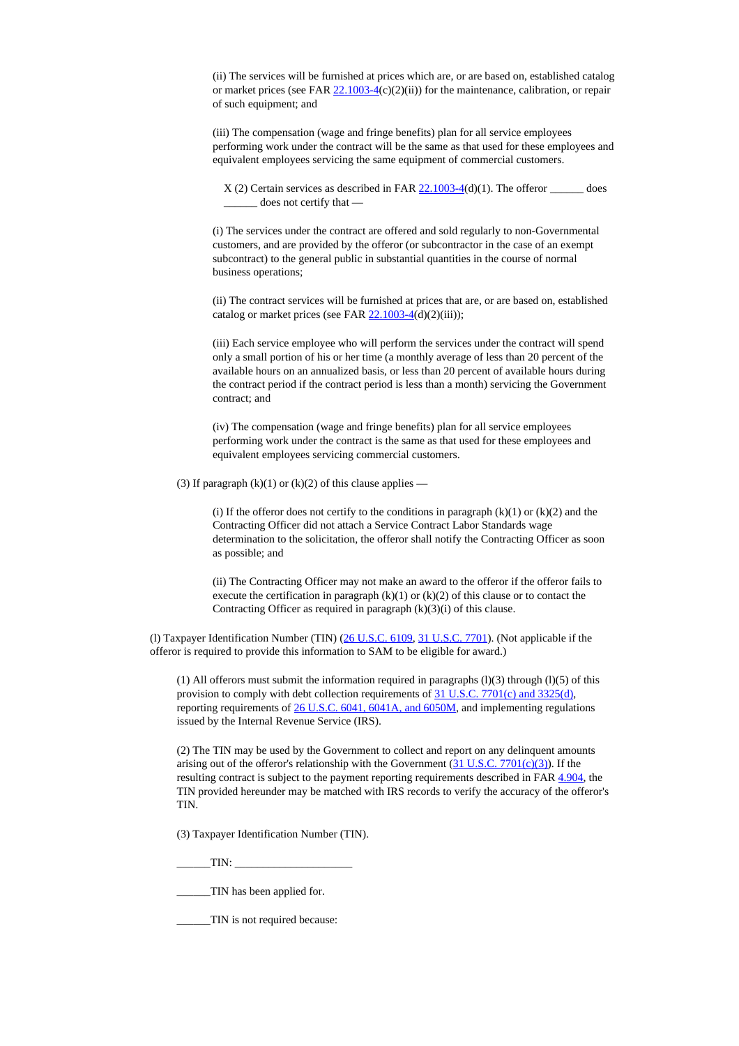(ii) The services will be furnished at prices which are, or are based on, established catalog or market prices (see FAR  $22.1003-4(c)(2)(ii)$  $22.1003-4(c)(2)(ii)$ ) for the maintenance, calibration, or repair of such equipment; and

(iii) The compensation (wage and fringe benefits) plan for all service employees performing work under the contract will be the same as that used for these employees and equivalent employees servicing the same equipment of commercial customers.

 $X(2)$  Certain services as described in FAR  $22.1003-4(d)(1)$  $22.1003-4(d)(1)$ . The offeror \_\_\_\_\_\_\_ does does not certify that —

(i) The services under the contract are offered and sold regularly to non-Governmental customers, and are provided by the offeror (or subcontractor in the case of an exempt subcontract) to the general public in substantial quantities in the course of normal business operations;

(ii) The contract services will be furnished at prices that are, or are based on, established catalog or market prices (see FAR  $22.1003-4(d)(2)(iii)$  $22.1003-4(d)(2)(iii)$ );

(iii) Each service employee who will perform the services under the contract will spend only a small portion of his or her time (a monthly average of less than 20 percent of the available hours on an annualized basis, or less than 20 percent of available hours during the contract period if the contract period is less than a month) servicing the Government contract; and

(iv) The compensation (wage and fringe benefits) plan for all service employees performing work under the contract is the same as that used for these employees and equivalent employees servicing commercial customers.

(3) If paragraph  $(k)(1)$  or  $(k)(2)$  of this clause applies —

(i) If the offeror does not certify to the conditions in paragraph  $(k)(1)$  or  $(k)(2)$  and the Contracting Officer did not attach a Service Contract Labor Standards wage determination to the solicitation, the offeror shall notify the Contracting Officer as soon as possible; and

(ii) The Contracting Officer may not make an award to the offeror if the offeror fails to execute the certification in paragraph  $(k)(1)$  or  $(k)(2)$  of this clause or to contact the Contracting Officer as required in paragraph  $(k)(3)(i)$  of this clause.

(l) Taxpayer Identification Number (TIN) (26 [U.S.C.](http://uscode.house.gov/uscode-cgi/fastweb.exe?getdoc+uscview+t37t40+200+2++%2838%29%20%20AND%20%28%2838%29%20ADJ%20USC%29%3ACITE%20%20%20%20%20%20%20%20%20) 6109, 31 [U.S.C.](http://uscode.house.gov/uscode-cgi/fastweb.exe?getdoc+uscview+t37t40+200+2++%2838%29%20%20AND%20%28%2838%29%20ADJ%20USC%29%3ACITE%20%20%20%20%20%20%20%20%20) 7701). (Not applicable if the offeror is required to provide this information to SAM to be eligible for award.)

(1) All offerors must submit the information required in paragraphs  $(1)(3)$  through  $(1)(5)$  of this provision to comply with debt collection requirements of  $31$  U.S.C. 7701(c) and  $3325(d)$ , reporting requirements of 26 U.S.C. 6041, [6041A,](http://uscode.house.gov/uscode-cgi/fastweb.exe?getdoc+uscview+t37t40+200+2++%2838%29%20%20AND%20%28%2838%29%20ADJ%20USC%29%3ACITE%20%20%20%20%20%20%20%20%20) and 6050M, and implementing regulations issued by the Internal Revenue Service (IRS).

(2) The TIN may be used by the Government to collect and report on any delinquent amounts arising out of the offeror's relationship with the Government  $(31 \text{ U.S.C. } 7701 \text{ (c)}(3))$ . If the resulting contract is subject to the payment reporting requirements described in FAR [4.904,](https://www.acquisition.gov/far/current/html/Subpart%204_9.html#wp1091081) the TIN provided hereunder may be matched with IRS records to verify the accuracy of the offeror's TIN.

(3) Taxpayer Identification Number (TIN).

 $TIN:$ 

\_\_\_\_\_\_TIN has been applied for.

\_\_\_\_\_\_TIN is not required because: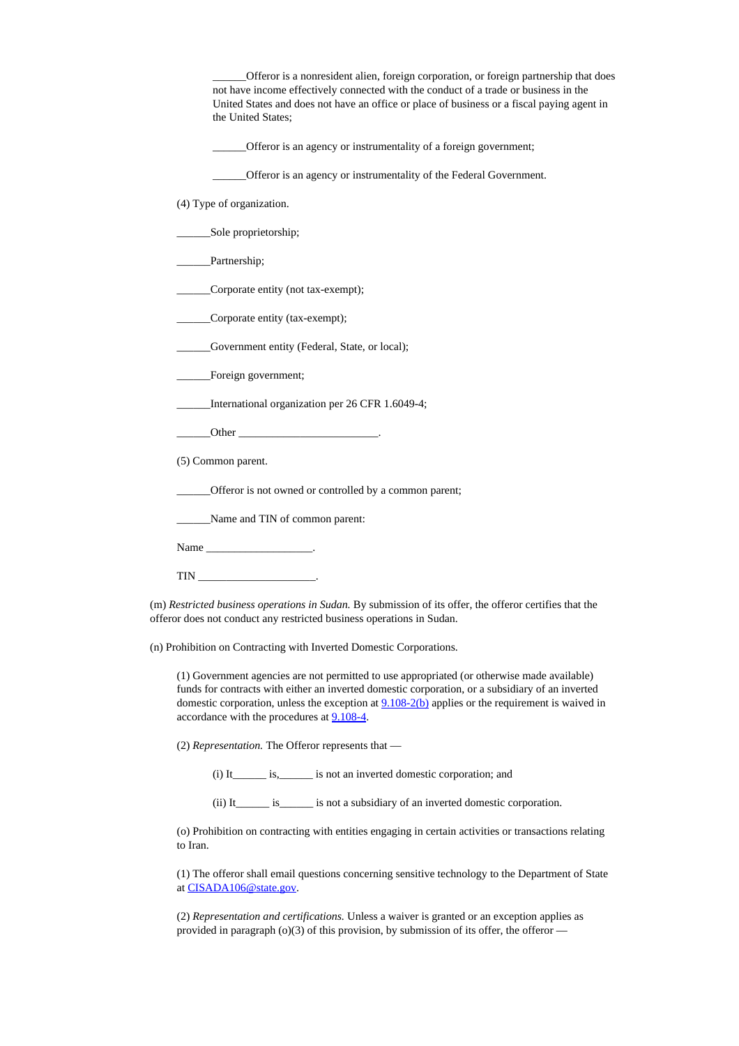\_\_\_\_\_\_Offeror is a nonresident alien, foreign corporation, or foreign partnership that does not have income effectively connected with the conduct of a trade or business in the United States and does not have an office or place of business or a fiscal paying agent in the United States;

Offeror is an agency or instrumentality of a foreign government;

\_\_\_\_\_\_Offeror is an agency or instrumentality of the Federal Government.

(4) Type of organization.

\_\_\_\_\_\_Sole proprietorship;

\_\_\_\_\_\_Partnership;

\_\_\_\_\_\_Corporate entity (not tax-exempt);

\_\_\_\_\_\_Corporate entity (tax-exempt);

\_\_\_\_\_\_Government entity (Federal, State, or local);

Foreign government;

International organization per 26 CFR 1.6049-4;

\_\_\_\_\_\_Other \_\_\_\_\_\_\_\_\_\_\_\_\_\_\_\_\_\_\_\_\_\_\_\_\_.

(5) Common parent.

\_\_\_\_\_\_Offeror is not owned or controlled by a common parent;

\_\_\_\_\_\_Name and TIN of common parent:

Name \_\_\_\_\_\_\_\_\_\_\_\_\_\_\_\_\_\_\_\_\_\_\_\_\_\_\_.

TIN \_\_\_\_\_\_\_\_\_\_\_\_\_\_\_\_\_\_\_\_\_.

(m) *Restricted business operations in Sudan.* By submission of its offer, the offeror certifies that the offeror does not conduct any restricted business operations in Sudan.

(n) Prohibition on Contracting with Inverted Domestic Corporations.

(1) Government agencies are not permitted to use appropriated (or otherwise made available) funds for contracts with either an inverted domestic corporation, or a subsidiary of an inverted domestic corporation, unless the exception at  $9.108-2(b)$  applies or the requirement is waived in accordance with the procedures at [9.108-4.](https://acquisition.gov/far/current/html/Subpart%209_1.html#wp1085953)

(2) *Representation.* The Offeror represents that —

(i) It is, is not an inverted domestic corporation; and

(ii) It\_\_\_\_\_\_ is\_\_\_\_\_\_ is not a subsidiary of an inverted domestic corporation.

(o) Prohibition on contracting with entities engaging in certain activities or transactions relating to Iran.

(1) The offeror shall email questions concerning sensitive technology to the Department of State at [CISADA106@state.gov.](CISADA106%40state.gov)

(2) *Representation and certifications.* Unless a waiver is granted or an exception applies as provided in paragraph ( $o(3)$  of this provision, by submission of its offer, the offeror —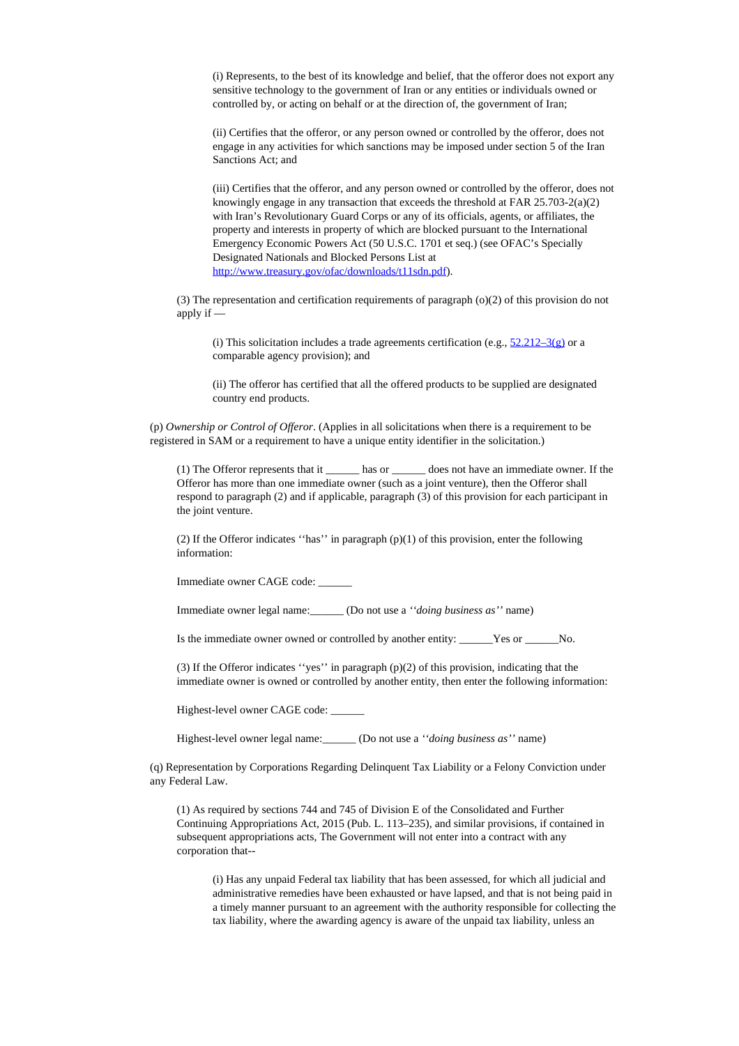(i) Represents, to the best of its knowledge and belief, that the offeror does not export any sensitive technology to the government of Iran or any entities or individuals owned or controlled by, or acting on behalf or at the direction of, the government of Iran;

(ii) Certifies that the offeror, or any person owned or controlled by the offeror, does not engage in any activities for which sanctions may be imposed under section 5 of the Iran Sanctions Act; and

(iii) Certifies that the offeror, and any person owned or controlled by the offeror, does not knowingly engage in any transaction that exceeds the threshold at FAR 25.703-2(a)(2) with Iran's Revolutionary Guard Corps or any of its officials, agents, or affiliates, the property and interests in property of which are blocked pursuant to the International Emergency Economic Powers Act (50 U.S.C. 1701 et seq.) (see OFAC's Specially Designated Nationals and Blocked Persons List at [http://www.treasury.gov/ofac/downloads/t11sdn.pdf](#page-0-0)).

(3) The representation and certification requirements of paragraph (o)(2) of this provision do not apply if —

(i) This solicitation includes a trade agreements certification (e.g.,  $52.212-3(g)$  or a comparable agency provision); and

(ii) The offeror has certified that all the offered products to be supplied are designated country end products.

(p) *Ownership or Control of Offeror*. (Applies in all solicitations when there is a requirement to be registered in SAM or a requirement to have a unique entity identifier in the solicitation.)

(1) The Offeror represents that it \_\_\_\_\_\_ has or \_\_\_\_\_\_ does not have an immediate owner. If the Offeror has more than one immediate owner (such as a joint venture), then the Offeror shall respond to paragraph (2) and if applicable, paragraph (3) of this provision for each participant in the joint venture.

(2) If the Offeror indicates "has" in paragraph  $(p)(1)$  of this provision, enter the following information:

Immediate owner CAGE code: \_\_\_\_\_\_

Immediate owner legal name:\_\_\_\_\_\_ (Do not use a *''doing business as''* name)

Is the immediate owner owned or controlled by another entity: \_\_\_\_\_\_Yes or \_\_\_\_\_\_No.

(3) If the Offeror indicates ''yes'' in paragraph (p)(2) of this provision, indicating that the immediate owner is owned or controlled by another entity, then enter the following information:

Highest-level owner CAGE code:

Highest-level owner legal name:\_\_\_\_\_\_ (Do not use a *''doing business as''* name)

(q) Representation by Corporations Regarding Delinquent Tax Liability or a Felony Conviction under any Federal Law.

(1) As required by sections 744 and 745 of Division E of the Consolidated and Further Continuing Appropriations Act, 2015 (Pub. L. 113–235), and similar provisions, if contained in subsequent appropriations acts, The Government will not enter into a contract with any corporation that--

(i) Has any unpaid Federal tax liability that has been assessed, for which all judicial and administrative remedies have been exhausted or have lapsed, and that is not being paid in a timely manner pursuant to an agreement with the authority responsible for collecting the tax liability, where the awarding agency is aware of the unpaid tax liability, unless an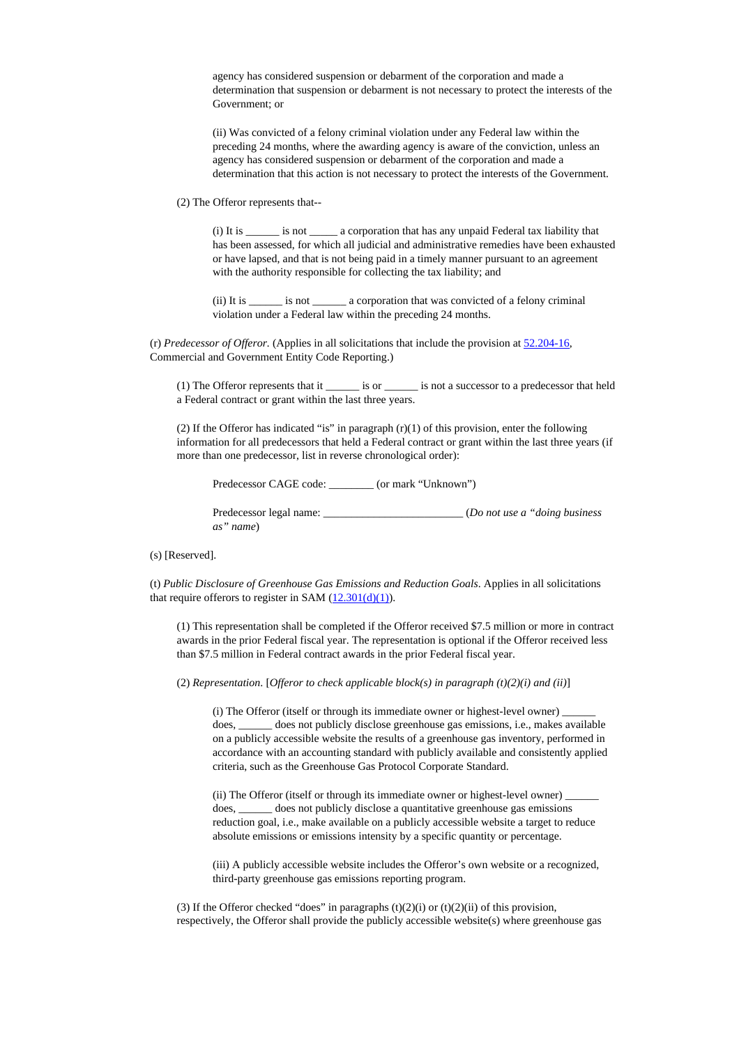agency has considered suspension or debarment of the corporation and made a determination that suspension or debarment is not necessary to protect the interests of the Government; or

(ii) Was convicted of a felony criminal violation under any Federal law within the preceding 24 months, where the awarding agency is aware of the conviction, unless an agency has considered suspension or debarment of the corporation and made a determination that this action is not necessary to protect the interests of the Government.

(2) The Offeror represents that--

(i) It is \_\_\_\_\_\_ is not \_\_\_\_\_ a corporation that has any unpaid Federal tax liability that has been assessed, for which all judicial and administrative remedies have been exhausted or have lapsed, and that is not being paid in a timely manner pursuant to an agreement with the authority responsible for collecting the tax liability; and

(ii) It is \_\_\_\_\_\_ is not \_\_\_\_\_\_ a corporation that was convicted of a felony criminal violation under a Federal law within the preceding 24 months.

(r) *Predecessor of Offeror.* (Applies in all solicitations that include the provision at [52.204-16,](https://www.acquisition.gov/sites/default/files/current/far/html/52_200_206.html#wp1152012) Commercial and Government Entity Code Reporting.)

(1) The Offeror represents that it \_\_\_\_\_\_ is or \_\_\_\_\_\_ is not a successor to a predecessor that held a Federal contract or grant within the last three years.

(2) If the Offeror has indicated "is" in paragraph  $(r)(1)$  of this provision, enter the following information for all predecessors that held a Federal contract or grant within the last three years (if more than one predecessor, list in reverse chronological order):

Predecessor CAGE code:  $($  or mark "Unknown")

Predecessor legal name: \_\_\_\_\_\_\_\_\_\_\_\_\_\_\_\_\_\_\_\_\_\_\_\_\_ (*Do not use a "doing business as" name*)

(s) [Reserved].

(t) *Public Disclosure of Greenhouse Gas Emissions and Reduction Goals*. Applies in all solicitations that require offerors to register in SAM  $(12.301(d)(1))$  $(12.301(d)(1))$  $(12.301(d)(1))$ .

(1) This representation shall be completed if the Offeror received \$7.5 million or more in contract awards in the prior Federal fiscal year. The representation is optional if the Offeror received less than \$7.5 million in Federal contract awards in the prior Federal fiscal year.

(2) *Representation*. [*Offeror to check applicable block(s) in paragraph (t)(2)(i) and (ii)*]

(i) The Offeror (itself or through its immediate owner or highest-level owner) does, \_\_\_\_\_\_ does not publicly disclose greenhouse gas emissions, i.e., makes available on a publicly accessible website the results of a greenhouse gas inventory, performed in accordance with an accounting standard with publicly available and consistently applied criteria, such as the Greenhouse Gas Protocol Corporate Standard.

(ii) The Offeror (itself or through its immediate owner or highest-level owner) does, \_\_\_\_\_\_ does not publicly disclose a quantitative greenhouse gas emissions reduction goal, i.e., make available on a publicly accessible website a target to reduce absolute emissions or emissions intensity by a specific quantity or percentage.

(iii) A publicly accessible website includes the Offeror's own website or a recognized, third-party greenhouse gas emissions reporting program.

(3) If the Offeror checked "does" in paragraphs  $(t)(2)(i)$  or  $(t)(2)(ii)$  of this provision, respectively, the Offeror shall provide the publicly accessible website(s) where greenhouse gas